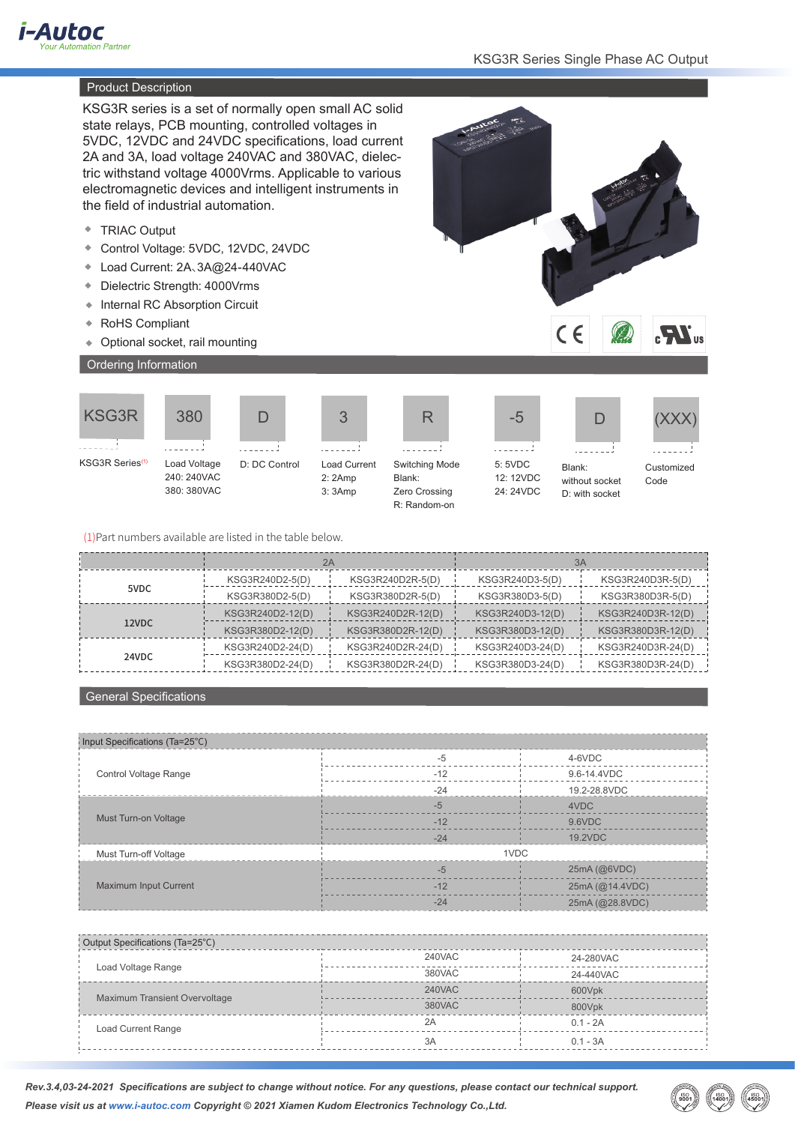

# **Product Description**

KSG3R series is a set of normally open small AC solid state relays, PCB mounting, controlled voltages in 5VDC, 12VDC and 24VDC specifications, load current 2A and 3A, load voltage 240VAC and 380VAC, dielectric withstand voltage 4000Vrms. Applicable to various electromagnetic devices and intelligent instruments in the field of industrial automation.

- ◆ TRIAC Output
- Control Voltage: 5VDC, 12VDC, 24VDC
- Load Current: 2A、3A@24-440VAC
- Dielectric Strength: 4000Vrms
- ◆ Internal RC Absorption Circuit
- RoHS Compliant
- Optional socket, rail mounting

380

 $- - -1$ 











1111 Blank:





(XXX)

KSG3R Series(1)

Load Voltage 240: 240VAC 380: 380VAC

Load Current 2: 2Amp



R

Blank: without socket

D: with socket

Code

D: DC Control

3: 3Amp









Customized

(1)Part numbers available are listed in the table below.

|       | 2A               |                   | 3A               |                   |
|-------|------------------|-------------------|------------------|-------------------|
| 5VDC  | KSG3R240D2-5(D)  | KSG3R240D2R-5(D)  | KSG3R240D3-5(D)  | KSG3R240D3R-5(D)  |
|       | KSG3R380D2-5(D)  | KSG3R380D2R-5(D)  | KSG3R380D3-5(D)  | KSG3R380D3R-5(D)  |
| 12VDC | KSG3R240D2-12(D) | KSG3R240D2R-12(D) | KSG3R240D3-12(D) | KSG3R240D3R-12(D) |
|       | KSG3R380D2-12(D) | KSG3R380D2R-12(D) | KSG3R380D3-12(D) | KSG3R380D3R-12(D) |
| 24VDC | KSG3R240D2-24(D) | KSG3R240D2R-24(D) | KSG3R240D3-24(D) | KSG3R240D3R-24(D) |
|       | KSG3R380D2-24(D) | KSG3R380D2R-24(D) | KSG3R380D3-24(D) | KSG3R380D3R-24(D) |

#### General Specifications

| Input Specifications (Ta=25°C) |       |                 |
|--------------------------------|-------|-----------------|
|                                | $-5$  | 4-6VDC          |
| Control Voltage Range          | $-12$ | 9.6-14.4VDC     |
|                                | $-24$ | 19.2-28.8VDC    |
|                                | $-5$  | 4VDC            |
| Must Turn-on Voltage           | $-12$ | 9.6VDC          |
|                                | $-24$ | 19.2VDC         |
| Must Turn-off Voltage          | 1VDC  |                 |
|                                | $-5$  | 25mA (@6VDC)    |
| <b>Maximum Input Current</b>   | $-12$ | 25mA (@14.4VDC) |
|                                | $-24$ | 25mA (@28.8VDC) |

| Output Specifications (Ta=25°C) |        |            |
|---------------------------------|--------|------------|
| Load Voltage Range              | 240VAC | 24-280VAC  |
|                                 | 380VAC | 24-440VAC  |
| Maximum Transient Overvoltage   | 240VAC | 600Vpk     |
|                                 | 380VAC | 800Vpk     |
| Load Current Range              | 2A     | $0.1 - 2A$ |
|                                 | 3A     | $0.1 - 3A$ |

*Rev.3.4,03-24-2021 Specifications are subject to change without notice. For any questions, please contact our technical support. Please visit us at www.i-autoc.com Copyright © 2021 Xiamen Kudom Electronics Technology Co.,Ltd.*

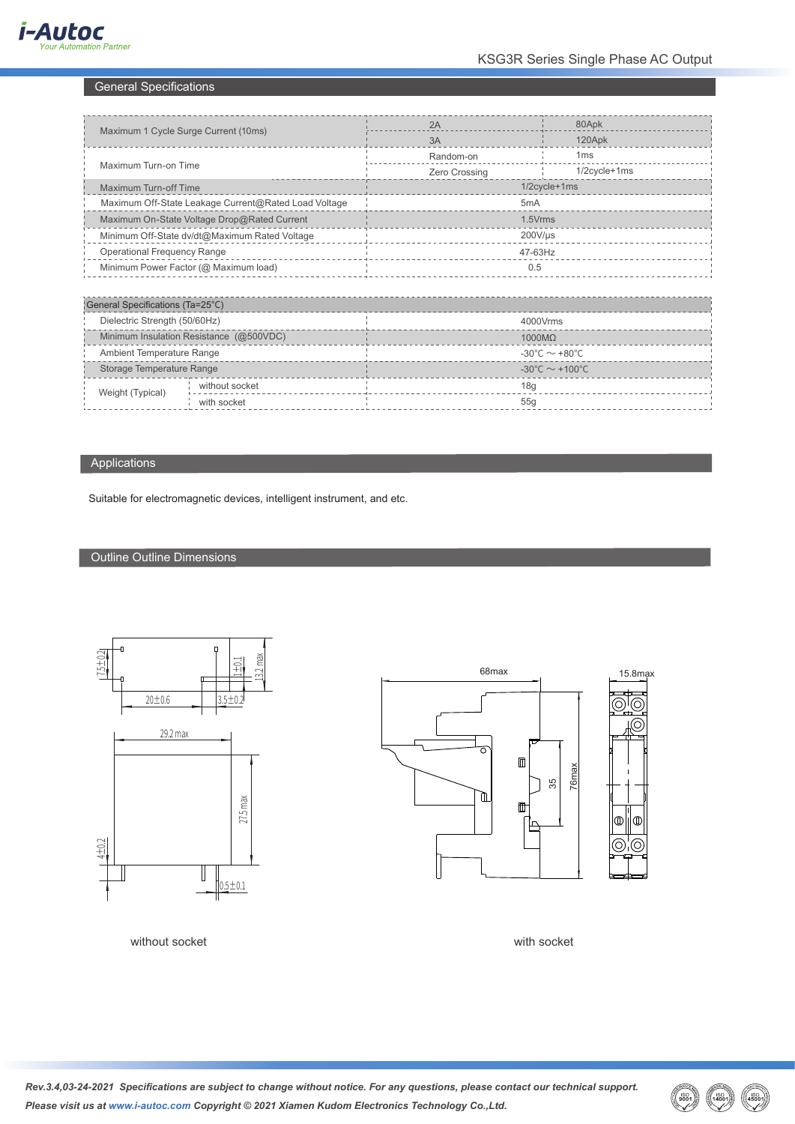# General Specifications

| Maximum 1 Cycle Surge Current (10ms)                 |                | 2A                                  | 80Apk           |  |
|------------------------------------------------------|----------------|-------------------------------------|-----------------|--|
|                                                      |                | 3A                                  | 120Apk          |  |
| Maximum Turn-on Time                                 |                | Random-on                           | 1 <sub>ms</sub> |  |
|                                                      |                | Zero Crossing                       | 1/2cycle+1ms    |  |
| <b>Maximum Turn-off Time</b>                         |                | 1/2cycle+1ms                        |                 |  |
| Maximum Off-State Leakage Current@Rated Load Voltage |                | 5 <sub>m</sub> A                    |                 |  |
| Maximum On-State Voltage Drop@Rated Current          |                | 1.5Vrms                             |                 |  |
| Minimum Off-State dv/dt@Maximum Rated Voltage        |                | $200$ V/µs                          |                 |  |
| <b>Operational Frequency Range</b>                   |                | 47-63Hz                             |                 |  |
| Minimum Power Factor (@ Maximum load)                |                | 0.5                                 |                 |  |
|                                                      |                |                                     |                 |  |
| General Specifications (Ta=25°C)                     |                |                                     |                 |  |
| Dielectric Strength (50/60Hz)                        |                | 4000Vrms                            |                 |  |
| Minimum Insulation Resistance (@500VDC)              |                | $1000M\Omega$                       |                 |  |
| Ambient Temperature Range                            |                | -30°C $\sim$ +80°C                  |                 |  |
| Storage Temperature Range                            |                | $-30^{\circ}$ C ~ +100 $^{\circ}$ C |                 |  |
| Weight (Typical)                                     | without socket | 18g                                 |                 |  |
|                                                      | with socket    | 55g                                 |                 |  |
|                                                      |                |                                     |                 |  |

# Applications

Suitable for electromagnetic devices, intelligent instrument, and etc.

# Outline Outline Dimensions



68max  $\Box$ 76max 35 ึ่⊞  $^{\rm 1\!\texttt{m}}$ lo 6)



without socket with socket with socket